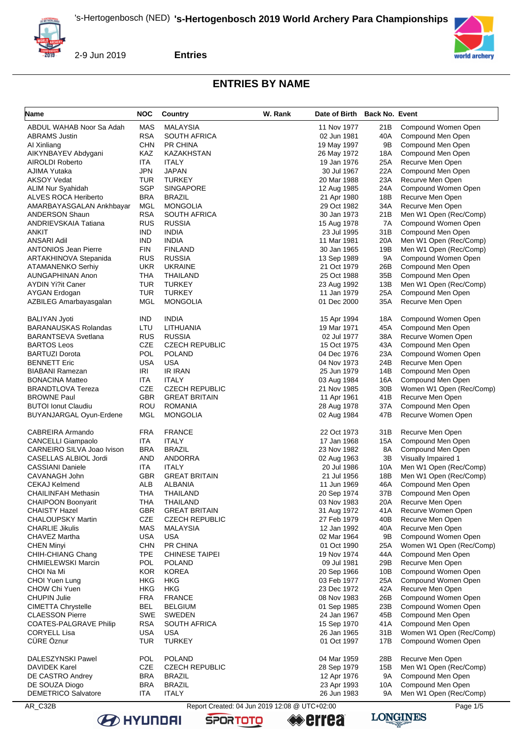

**Entries**

# **ENTRIES BY NAME**

| Name                        | <b>NOC</b> | Country                                       | W. Rank | Date of Birth Back No. Event |     |                          |
|-----------------------------|------------|-----------------------------------------------|---------|------------------------------|-----|--------------------------|
| ABDUL WAHAB Noor Sa Adah    | <b>MAS</b> | MALAYSIA                                      |         | 11 Nov 1977                  | 21B | Compound Women Open      |
| <b>ABRAMS Justin</b>        | <b>RSA</b> | <b>SOUTH AFRICA</b>                           |         | 02 Jun 1981                  | 40A | Compound Men Open        |
| AI Xinliang                 | <b>CHN</b> | <b>PR CHINA</b>                               |         | 19 May 1997                  | 9Β  | Compound Men Open        |
| AIKYNBAYEV Abdygani         | KAZ        | KAZAKHSTAN                                    |         | 26 May 1972                  | 18A | Compound Men Open        |
| AIROLDI Roberto             | ITA        | <b>ITALY</b>                                  |         | 19 Jan 1976                  | 25A | Recurve Men Open         |
| AJIMA Yutaka                | JPN        | <b>JAPAN</b>                                  |         | 30 Jul 1967                  | 22A | Compound Men Open        |
| <b>AKSOY Vedat</b>          | <b>TUR</b> | <b>TURKEY</b>                                 |         | 20 Mar 1988                  | 23A | Recurve Men Open         |
| ALIM Nur Syahidah           | SGP        | <b>SINGAPORE</b>                              |         | 12 Aug 1985                  | 24A | Compound Women Open      |
| ALVES ROCA Heriberto        | <b>BRA</b> | <b>BRAZIL</b>                                 |         | 21 Apr 1980                  | 18B | Recurve Men Open         |
| AMARBAYASGALAN Ankhbayar    | MGL        | <b>MONGOLIA</b>                               |         | 29 Oct 1982                  | 34A | Recurve Men Open         |
| <b>ANDERSON Shaun</b>       | <b>RSA</b> | <b>SOUTH AFRICA</b>                           |         | 30 Jan 1973                  | 21B | Men W1 Open (Rec/Comp)   |
| ANDRIEVSKAIA Tatiana        | <b>RUS</b> | <b>RUSSIA</b>                                 |         | 15 Aug 1978                  | 7A  | Compound Women Open      |
| ANKIT                       | <b>IND</b> | <b>INDIA</b>                                  |         | 23 Jul 1995                  | 31B | Compound Men Open        |
| <b>ANSARI Adil</b>          | <b>IND</b> | <b>INDIA</b>                                  |         | 11 Mar 1981                  | 20A | Men W1 Open (Rec/Comp)   |
| <b>ANTONIOS Jean Pierre</b> | <b>FIN</b> | <b>FINLAND</b>                                |         | 30 Jan 1965                  | 19B | Men W1 Open (Rec/Comp)   |
| ARTAKHINOVA Stepanida       | RUS        | <b>RUSSIA</b>                                 |         | 13 Sep 1989                  | 9Α  | Compound Women Open      |
| <b>ATAMANENKO Serhiy</b>    | <b>UKR</b> | <b>UKRAINE</b>                                |         | 21 Oct 1979                  | 26B | Compound Men Open        |
| <b>AUNGAPHINAN Anon</b>     | <b>THA</b> | THAILAND                                      |         | 25 Oct 1988                  | 35B | Compound Men Open        |
| <b>AYDIN Yi?it Caner</b>    | <b>TUR</b> | <b>TURKEY</b>                                 |         | 23 Aug 1992                  | 13B | Men W1 Open (Rec/Comp)   |
| <b>AYGAN Erdogan</b>        | <b>TUR</b> | <b>TURKEY</b>                                 |         | 11 Jan 1979                  | 25A | Compound Men Open        |
| AZBILEG Amarbayasgalan      | <b>MGL</b> | <b>MONGOLIA</b>                               |         | 01 Dec 2000                  | 35A | Recurve Men Open         |
| <b>BALIYAN Jyoti</b>        | <b>IND</b> | <b>INDIA</b>                                  |         | 15 Apr 1994                  | 18A | Compound Women Open      |
| <b>BARANAUSKAS Rolandas</b> | LTU        | LITHUANIA                                     |         | 19 Mar 1971                  | 45A | Compound Men Open        |
| <b>BARANTSEVA Svetlana</b>  | <b>RUS</b> | <b>RUSSIA</b>                                 |         | 02 Jul 1977                  | 38A | Recurve Women Open       |
| <b>BARTOS Leos</b>          | CZE        | <b>CZECH REPUBLIC</b>                         |         | 15 Oct 1975                  | 43A | Compound Men Open        |
| <b>BARTUZI Dorota</b>       | POL        | <b>POLAND</b>                                 |         | 04 Dec 1976                  | 23A | Compound Women Open      |
| <b>BENNETT Eric</b>         | <b>USA</b> | <b>USA</b>                                    |         | 04 Nov 1973                  | 24B | Recurve Men Open         |
| <b>BIABANI Ramezan</b>      | IRI        | IR IRAN                                       |         | 25 Jun 1979                  | 14B | Compound Men Open        |
| <b>BONACINA Matteo</b>      | ITA        | <b>ITALY</b>                                  |         | 03 Aug 1984                  | 16A | Compound Men Open        |
| <b>BRANDTLOVA Tereza</b>    | CZE        | <b>CZECH REPUBLIC</b>                         |         | 21 Nov 1985                  | 30B | Women W1 Open (Rec/Comp) |
| <b>BROWNE Paul</b>          | GBR        | <b>GREAT BRITAIN</b>                          |         | 11 Apr 1961                  | 41B | Recurve Men Open         |
| <b>BUTOI Ionut Claudiu</b>  | ROU        | <b>ROMANIA</b>                                |         | 28 Aug 1978                  | 37A | Compound Men Open        |
| BUYANJARGAL Oyun-Erdene     | <b>MGL</b> | <b>MONGOLIA</b>                               |         | 02 Aug 1984                  | 47B | Recurve Women Open       |
| CABREIRA Armando            | <b>FRA</b> | <b>FRANCE</b>                                 |         | 22 Oct 1973                  | 31B | Recurve Men Open         |
| <b>CANCELLI Giampaolo</b>   | <b>ITA</b> | <b>ITALY</b>                                  |         | 17 Jan 1968                  | 15A | Compound Men Open        |
| CARNEIRO SILVA Joao Ivison  | <b>BRA</b> | <b>BRAZIL</b>                                 |         | 23 Nov 1982                  | 8A  | Compound Men Open        |
| CASELLAS ALBIOL Jordi       | AND        | ANDORRA                                       |         | 02 Aug 1963                  | 3B  | Visually Impaired 1      |
| <b>CASSIANI Daniele</b>     | ITA        | <b>ITALY</b>                                  |         | 20 Jul 1986                  | 10A | Men W1 Open (Rec/Comp)   |
| CAVANAGH John               | GBR        | <b>GREAT BRITAIN</b>                          |         | 21 Jul 1956                  | 18B | Men W1 Open (Rec/Comp)   |
| <b>CEKAJ Kelmend</b>        | ALB        | ALBANIA                                       |         | 11 Jun 1969                  | 46A | Compound Men Open        |
| <b>CHAILINFAH Methasin</b>  | THA        | THAILAND                                      |         | 20 Sep 1974                  | 37B | Compound Men Open        |
| CHAIPOON Boonyarit          | THA        | THAILAND                                      |         | 03 Nov 1983                  | 20A | Recurve Men Open         |
| <b>CHAISTY Hazel</b>        | GBR        | <b>GREAT BRITAIN</b>                          |         | 31 Aug 1972                  | 41A | Recurve Women Open       |
| <b>CHALOUPSKY Martin</b>    | <b>CZE</b> | <b>CZECH REPUBLIC</b>                         |         | 27 Feb 1979                  | 40B | Recurve Men Open         |
| <b>CHARLIE Jikulis</b>      | <b>MAS</b> | <b>MALAYSIA</b>                               |         | 12 Jan 1992                  | 40A | Recurve Men Open         |
| CHAVEZ Martha               | USA        | <b>USA</b>                                    |         | 02 Mar 1964                  | 9Β  | Compound Women Open      |
| <b>CHEN Minyi</b>           | <b>CHN</b> | PR CHINA                                      |         | 01 Oct 1990                  | 25A | Women W1 Open (Rec/Comp) |
| CHIH-CHIANG Chang           | TPE        | <b>CHINESE TAIPEI</b>                         |         | 19 Nov 1974                  | 44A | Compound Men Open        |
| <b>CHMIELEWSKI Marcin</b>   | POL        | <b>POLAND</b>                                 |         | 09 Jul 1981                  | 29B | Recurve Men Open         |
| CHOI Na Mi                  | <b>KOR</b> | <b>KOREA</b>                                  |         | 20 Sep 1966                  | 10B | Compound Women Open      |
| CHOI Yuen Lung              | HKG        | HKG                                           |         | 03 Feb 1977                  | 25A | Compound Women Open      |
| CHOW Chi Yuen               | HKG        | <b>HKG</b>                                    |         | 23 Dec 1972                  | 42A | Recurve Men Open         |
| <b>CHUPIN Julie</b>         | <b>FRA</b> | <b>FRANCE</b>                                 |         | 08 Nov 1983                  | 26B | Compound Women Open      |
| <b>CIMETTA Chrystelle</b>   | <b>BEL</b> | <b>BELGIUM</b>                                |         | 01 Sep 1985                  | 23B | Compound Women Open      |
| <b>CLAESSON Pierre</b>      | <b>SWE</b> | <b>SWEDEN</b>                                 |         | 24 Jan 1967                  | 45B | Compound Men Open        |
| COATES-PALGRAVE Philip      | <b>RSA</b> | <b>SOUTH AFRICA</b>                           |         | 15 Sep 1970                  | 41A | Compound Men Open        |
| <b>CORYELL Lisa</b>         | <b>USA</b> | <b>USA</b>                                    |         | 26 Jan 1965                  | 31B | Women W1 Open (Rec/Comp) |
| CÜRE Öznur                  | <b>TUR</b> | <b>TURKEY</b>                                 |         | 01 Oct 1997                  | 17B | Compound Women Open      |
|                             | <b>POL</b> | <b>POLAND</b>                                 |         |                              |     |                          |
| DALESZYNSKI Pawel           | <b>CZE</b> |                                               |         | 04 Mar 1959                  | 28B | Recurve Men Open         |
| <b>DAVIDEK Karel</b>        |            | <b>CZECH REPUBLIC</b>                         |         | 28 Sep 1979                  | 15B | Men W1 Open (Rec/Comp)   |
| DE CASTRO Andrey            | <b>BRA</b> | <b>BRAZIL</b>                                 |         | 12 Apr 1976                  | 9A  | Compound Men Open        |
| DE SOUZA Diogo              | BRA        | <b>BRAZIL</b>                                 |         | 23 Apr 1993                  | 10A | Compound Men Open        |
| <b>DEMETRICO Salvatore</b>  | ITA        | <b>ITALY</b>                                  |         | 26 Jun 1983                  | 9A  | Men W1 Open (Rec/Comp)   |
| AR_C32B                     |            | Report Created: 04 Jun 2019 12:08 @ UTC+02:00 |         |                              |     | Page 1/5                 |





**LONGINES**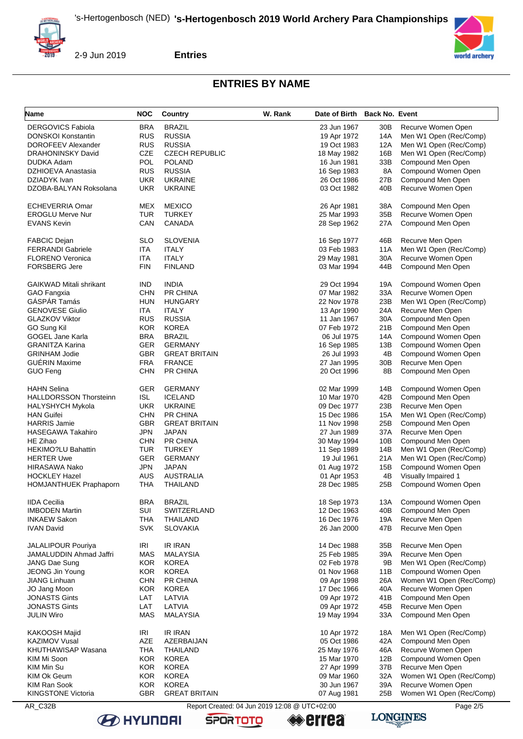

**Entries**

## **ENTRIES BY NAME**

| Name                           | NOC        | Country               | W. Rank                                       | Date of Birth Back No. Event |     |                          |
|--------------------------------|------------|-----------------------|-----------------------------------------------|------------------------------|-----|--------------------------|
| <b>DERGOVICS Fabiola</b>       | <b>BRA</b> | <b>BRAZIL</b>         |                                               | 23 Jun 1967                  | 30B | Recurve Women Open       |
| <b>DONSKOI Konstantin</b>      | <b>RUS</b> | <b>RUSSIA</b>         |                                               | 19 Apr 1972                  | 14A | Men W1 Open (Rec/Comp)   |
| DOROFEEV Alexander             | <b>RUS</b> | <b>RUSSIA</b>         |                                               | 19 Oct 1983                  | 12A | Men W1 Open (Rec/Comp)   |
| <b>DRAHONINSKY David</b>       | <b>CZE</b> | <b>CZECH REPUBLIC</b> |                                               | 18 May 1982                  | 16B | Men W1 Open (Rec/Comp)   |
| DUDKA Adam                     | POL        | <b>POLAND</b>         |                                               | 16 Jun 1981                  | 33B | Compound Men Open        |
| DZHIOEVA Anastasia             | <b>RUS</b> | <b>RUSSIA</b>         |                                               | 16 Sep 1983                  | 8A  | Compound Women Open      |
| DZIADYK Ivan                   | <b>UKR</b> | <b>UKRAINE</b>        |                                               | 26 Oct 1986                  | 27B | Compound Men Open        |
| DZOBA-BALYAN Roksolana         | <b>UKR</b> | <b>UKRAINE</b>        |                                               | 03 Oct 1982                  | 40B | Recurve Women Open       |
|                                |            |                       |                                               |                              |     |                          |
|                                |            |                       |                                               |                              |     |                          |
| ECHEVERRIA Omar                | MEX        | <b>MEXICO</b>         |                                               | 26 Apr 1981                  | 38A | Compound Men Open        |
| <b>EROGLU Merve Nur</b>        | TUR        | <b>TURKEY</b>         |                                               | 25 Mar 1993                  | 35B | Recurve Women Open       |
| <b>EVANS Kevin</b>             | CAN        | CANADA                |                                               | 28 Sep 1962                  | 27A | Compound Men Open        |
|                                |            |                       |                                               |                              |     |                          |
| <b>FABCIC Dejan</b>            | <b>SLO</b> | <b>SLOVENIA</b>       |                                               | 16 Sep 1977                  | 46B | Recurve Men Open         |
| <b>FERRANDI Gabriele</b>       | ITA        | <b>ITALY</b>          |                                               | 03 Feb 1983                  | 11A | Men W1 Open (Rec/Comp)   |
| <b>FLORENO Veronica</b>        | <b>ITA</b> | <b>ITALY</b>          |                                               | 29 May 1981                  | 30A | Recurve Women Open       |
| <b>FORSBERG Jere</b>           | <b>FIN</b> | <b>FINLAND</b>        |                                               | 03 Mar 1994                  | 44B | Compound Men Open        |
|                                |            |                       |                                               |                              |     |                          |
| <b>GAIKWAD Mitali shrikant</b> | <b>IND</b> | <b>INDIA</b>          |                                               | 29 Oct 1994                  | 19A | Compound Women Open      |
| GAO Fangxia                    | <b>CHN</b> | PR CHINA              |                                               | 07 Mar 1982                  | 33A | Recurve Women Open       |
| GÁSPÁR Tamás                   | HUN        | <b>HUNGARY</b>        |                                               | 22 Nov 1978                  | 23B | Men W1 Open (Rec/Comp)   |
| <b>GENOVESE Giulio</b>         | ITA.       | <b>ITALY</b>          |                                               | 13 Apr 1990                  | 24A | Recurve Men Open         |
| <b>GLAZKOV Viktor</b>          | <b>RUS</b> | <b>RUSSIA</b>         |                                               | 11 Jan 1967                  | 30A | Compound Men Open        |
| GO Sung Kil                    | <b>KOR</b> | <b>KOREA</b>          |                                               | 07 Feb 1972                  | 21B | Compound Men Open        |
| <b>GOGEL Jane Karla</b>        | BRA        | <b>BRAZIL</b>         |                                               | 06 Jul 1975                  | 14A | Compound Women Open      |
| <b>GRANITZA Karina</b>         |            |                       |                                               |                              |     |                          |
|                                | <b>GER</b> | <b>GERMANY</b>        |                                               | 16 Sep 1985                  | 13B | Compound Women Open      |
| <b>GRINHAM Jodie</b>           | <b>GBR</b> | <b>GREAT BRITAIN</b>  |                                               | 26 Jul 1993                  | 4B  | Compound Women Open      |
| <b>GUERIN Maxime</b>           | <b>FRA</b> | <b>FRANCE</b>         |                                               | 27 Jan 1995                  | 30B | Recurve Men Open         |
| <b>GUO Feng</b>                | <b>CHN</b> | PR CHINA              |                                               | 20 Oct 1996                  | 8B  | Compound Men Open        |
|                                |            |                       |                                               |                              |     |                          |
| <b>HAHN Selina</b>             | <b>GER</b> | <b>GERMANY</b>        |                                               | 02 Mar 1999                  | 14B | Compound Women Open      |
| <b>HALLDORSSON Thorsteinn</b>  | <b>ISL</b> | <b>ICELAND</b>        |                                               | 10 Mar 1970                  | 42B | Compound Men Open        |
| <b>HALYSHYCH Mykola</b>        | <b>UKR</b> | <b>UKRAINE</b>        |                                               | 09 Dec 1977                  | 23B | Recurve Men Open         |
| <b>HAN Guifei</b>              | <b>CHN</b> | PR CHINA              |                                               | 15 Dec 1986                  | 15A | Men W1 Open (Rec/Comp)   |
| <b>HARRIS Jamie</b>            | <b>GBR</b> | <b>GREAT BRITAIN</b>  |                                               | 11 Nov 1998                  | 25B | Compound Men Open        |
| HASEGAWA Takahiro              | JPN        | JAPAN                 |                                               | 27 Jun 1989                  | 37A | Recurve Men Open         |
| HE Zihao                       | <b>CHN</b> | PR CHINA              |                                               | 30 May 1994                  | 10B | Compound Men Open        |
| <b>HEKIMO?LU Bahattin</b>      | TUR        | <b>TURKEY</b>         |                                               | 11 Sep 1989                  | 14B | Men W1 Open (Rec/Comp)   |
| <b>HERTER Uwe</b>              | <b>GER</b> | <b>GERMANY</b>        |                                               | 19 Jul 1961                  | 21A | Men W1 Open (Rec/Comp)   |
| HIRASAWA Nako                  | <b>JPN</b> | <b>JAPAN</b>          |                                               |                              | 15B |                          |
|                                |            |                       |                                               | 01 Aug 1972                  |     | Compound Women Open      |
| <b>HOCKLEY Hazel</b>           | <b>AUS</b> | AUSTRALIA             |                                               | 01 Apr 1953                  | 4B  | Visually Impaired 1      |
| <b>HOMJANTHUEK Praphaporn</b>  | <b>THA</b> | THAILAND              |                                               | 28 Dec 1985                  | 25B | Compound Women Open      |
|                                |            |                       |                                               |                              |     |                          |
| <b>IIDA Cecilia</b>            | <b>BRA</b> | <b>BRAZIL</b>         |                                               | 18 Sep 1973                  | 13A | Compound Women Open      |
| <b>IMBODEN Martin</b>          | SUI        | SWITZERLAND           |                                               | 12 Dec 1963                  | 40B | Compound Men Open        |
| <b>INKAEW Sakon</b>            | THA        | <b>THAILAND</b>       |                                               | 16 Dec 1976                  | 19A | Recurve Men Open         |
| <b>IVAN David</b>              | <b>SVK</b> | <b>SLOVAKIA</b>       |                                               | 26 Jan 2000                  | 47B | Recurve Men Open         |
|                                |            |                       |                                               |                              |     |                          |
| <b>JALALIPOUR Pouriya</b>      | IRI        | <b>IR IRAN</b>        |                                               | 14 Dec 1988                  | 35B | Recurve Men Open         |
| JAMALUDDIN Ahmad Jaffri        | <b>MAS</b> | <b>MALAYSIA</b>       |                                               | 25 Feb 1985                  | 39A | Recurve Men Open         |
| JANG Dae Sung                  | <b>KOR</b> | <b>KOREA</b>          |                                               | 02 Feb 1978                  | 9B  | Men W1 Open (Rec/Comp)   |
| JEONG Jin Young                | <b>KOR</b> | <b>KOREA</b>          |                                               | 01 Nov 1968                  | 11B | Compound Women Open      |
| <b>JIANG Linhuan</b>           | <b>CHN</b> | PR CHINA              |                                               | 09 Apr 1998                  | 26A | Women W1 Open (Rec/Comp) |
| JO Jang Moon                   | <b>KOR</b> | <b>KOREA</b>          |                                               | 17 Dec 1966                  | 40A | Recurve Women Open       |
| <b>JONASTS Gints</b>           | LAT        | LATVIA                |                                               | 09 Apr 1972                  | 41B | Compound Men Open        |
| <b>JONASTS Gints</b>           | LAT        | LATVIA                |                                               | 09 Apr 1972                  | 45B | Recurve Men Open         |
| <b>JULIN Wiro</b>              | <b>MAS</b> | MALAYSIA              |                                               | 19 May 1994                  | 33A | Compound Men Open        |
|                                |            |                       |                                               |                              |     |                          |
| KAKOOSH Majid                  | IRI        | <b>IR IRAN</b>        |                                               | 10 Apr 1972                  | 18A | Men W1 Open (Rec/Comp)   |
|                                |            |                       |                                               |                              |     |                          |
| <b>KAZIMOV Vusal</b>           | AZE        | AZERBAIJAN            |                                               | 05 Oct 1986                  | 42A | Compound Men Open        |
| KHUTHAWISAP Wasana             | <b>THA</b> | THAILAND              |                                               | 25 May 1976                  | 46A | Recurve Women Open       |
| KIM Mi Soon                    | <b>KOR</b> | <b>KOREA</b>          |                                               | 15 Mar 1970                  | 12B | Compound Women Open      |
| KIM Min Su                     | <b>KOR</b> | <b>KOREA</b>          |                                               | 27 Apr 1999                  | 37B | Recurve Men Open         |
| KIM Ok Geum                    | <b>KOR</b> | <b>KOREA</b>          |                                               | 09 Mar 1960                  | 32A | Women W1 Open (Rec/Comp) |
| KIM Ran Sook                   | <b>KOR</b> | <b>KOREA</b>          |                                               | 30 Jun 1967                  | 39A | Recurve Women Open       |
| <b>KINGSTONE Victoria</b>      | <b>GBR</b> | <b>GREAT BRITAIN</b>  |                                               | 07 Aug 1981                  | 25B | Women W1 Open (Rec/Comp) |
| AR_C32B                        |            |                       | Report Created: 04 Jun 2019 12:08 @ UTC+02:00 |                              |     | Page 2/5                 |
|                                |            |                       |                                               |                              |     |                          |

**B** HYUNDAI

**errea** 





**SPORTOTO**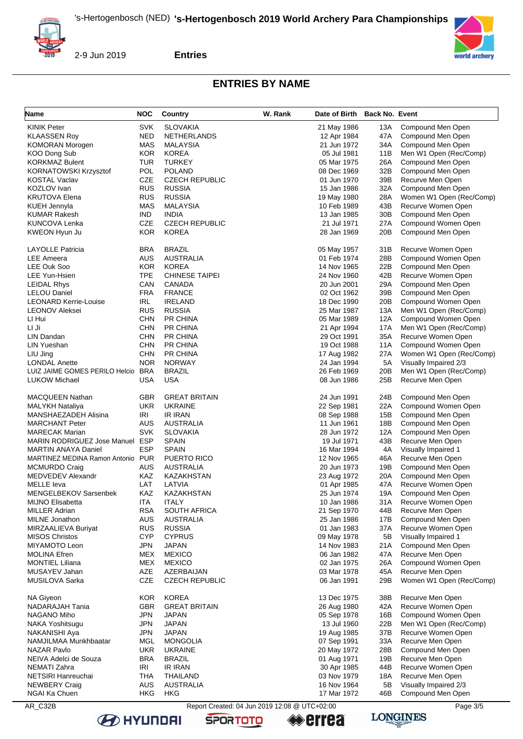

**Entries**

## **ENTRIES BY NAME**

| <b>Name</b>                        | <b>NOC</b> | <b>Country</b>        | W. Rank | Date of Birth Back No. Event |                 |                          |
|------------------------------------|------------|-----------------------|---------|------------------------------|-----------------|--------------------------|
| <b>KINIK Peter</b>                 | <b>SVK</b> | <b>SLOVAKIA</b>       |         | 21 May 1986                  | 13A             | Compound Men Open        |
| <b>KLAASSEN Roy</b>                | <b>NED</b> | <b>NETHERLANDS</b>    |         | 12 Apr 1984                  | 47A             | Compound Men Open        |
| <b>KOMORAN Morogen</b>             | <b>MAS</b> | MALAYSIA              |         | 21 Jun 1972                  | 34A             | Compound Men Open        |
| KOO Dong Sub                       | <b>KOR</b> | <b>KOREA</b>          |         | 05 Jul 1981                  | 11B             | Men W1 Open (Rec/Comp)   |
| <b>KORKMAZ Bulent</b>              | <b>TUR</b> | <b>TURKEY</b>         |         | 05 Mar 1975                  | 26A             | Compound Men Open        |
| <b>KORNATOWSKI Krzysztof</b>       | POL        | <b>POLAND</b>         |         | 08 Dec 1969                  | 32B             | Compound Men Open        |
| KOSTAL Vaclav                      | CZE        | <b>CZECH REPUBLIC</b> |         | 01 Jun 1970                  | 39B             | Recurve Men Open         |
| KOZLOV Ivan                        | <b>RUS</b> | <b>RUSSIA</b>         |         | 15 Jan 1986                  | 32A             | Compound Men Open        |
| <b>KRUTOVA Elena</b>               | <b>RUS</b> | <b>RUSSIA</b>         |         | 19 May 1980                  | 28A             | Women W1 Open (Rec/Comp) |
| KUEH Jennyla                       | <b>MAS</b> | MALAYSIA              |         | 10 Feb 1989                  | 43B             | Recurve Women Open       |
| <b>KUMAR Rakesh</b>                | <b>IND</b> | <b>INDIA</b>          |         | 13 Jan 1985                  | 30 <sub>B</sub> | Compound Men Open        |
| KUNCOVA Lenka                      | CZE        | <b>CZECH REPUBLIC</b> |         | 21 Jul 1971                  | 27A             | Compound Women Open      |
| KWEON Hyun Ju                      | <b>KOR</b> | <b>KOREA</b>          |         | 28 Jan 1969                  | 20 <sub>B</sub> | Compound Men Open        |
| <b>LAYOLLE Patricia</b>            | <b>BRA</b> | <b>BRAZIL</b>         |         | 05 May 1957                  | 31B             | Recurve Women Open       |
| <b>LEE Ameera</b>                  | <b>AUS</b> | <b>AUSTRALIA</b>      |         | 01 Feb 1974                  | 28B             | Compound Women Open      |
| LEE Ouk Soo                        | <b>KOR</b> | <b>KOREA</b>          |         | 14 Nov 1965                  | 22B             | Compound Men Open        |
| LEE Yun-Hsien                      | <b>TPE</b> | <b>CHINESE TAIPEI</b> |         | 24 Nov 1960                  | 42B             | Recurve Women Open       |
| <b>LEIDAL Rhys</b>                 | CAN        | <b>CANADA</b>         |         | 20 Jun 2001                  | 29A             | Compound Men Open        |
| <b>LELOU Daniel</b>                | <b>FRA</b> | <b>FRANCE</b>         |         | 02 Oct 1962                  | 39B             | Compound Men Open        |
| <b>LEONARD Kerrie-Louise</b>       | <b>IRL</b> | <b>IRELAND</b>        |         | 18 Dec 1990                  | 20B             | Compound Women Open      |
| <b>LEONOV Aleksei</b>              | <b>RUS</b> | <b>RUSSIA</b>         |         | 25 Mar 1987                  | 13A             | Men W1 Open (Rec/Comp)   |
| LI Hui                             | <b>CHN</b> | PR CHINA              |         | 05 Mar 1989                  | 12A             | Compound Women Open      |
| LI Ji                              | <b>CHN</b> | PR CHINA              |         | 21 Apr 1994                  | 17A             | Men W1 Open (Rec/Comp)   |
| LIN Dandan                         | <b>CHN</b> | <b>PR CHINA</b>       |         | 29 Oct 1991                  | 35A             | Recurve Women Open       |
| LIN Yueshan                        | <b>CHN</b> | PR CHINA              |         | 19 Oct 1988                  | 11A             | Compound Women Open      |
| LIU Jing                           | <b>CHN</b> | PR CHINA              |         | 17 Aug 1982                  | 27A             | Women W1 Open (Rec/Comp) |
| <b>LONDAL Anette</b>               | <b>NOR</b> | <b>NORWAY</b>         |         | 24 Jan 1994                  | 5A              | Visually Impaired 2/3    |
| LUIZ JAIME GOMES PERILO Helcio BRA |            | <b>BRAZIL</b>         |         | 26 Feb 1969                  | 20 <sub>B</sub> | Men W1 Open (Rec/Comp)   |
| <b>LUKOW Michael</b>               | USA        | <b>USA</b>            |         | 08 Jun 1986                  | 25B             | Recurve Men Open         |
| MACQUEEN Nathan                    | <b>GBR</b> | <b>GREAT BRITAIN</b>  |         | 24 Jun 1991                  | 24B             | Compound Men Open        |
| <b>MALYKH Nataliya</b>             | <b>UKR</b> | <b>UKRAINE</b>        |         | 22 Sep 1981                  | 22A             | Compound Women Open      |
| MANSHAEZADEH Alisina               | IRI        | <b>IR IRAN</b>        |         | 08 Sep 1988                  | 15B             | Compound Men Open        |
| <b>MARCHANT Peter</b>              | <b>AUS</b> | <b>AUSTRALIA</b>      |         | 11 Jun 1961                  | 18B             | Compound Men Open        |
| <b>MARECAK Marian</b>              | <b>SVK</b> | <b>SLOVAKIA</b>       |         | 28 Jun 1972                  | 12A             | Compound Men Open        |
| MARIN RODRIGUEZ Jose Manuel ESP    |            | <b>SPAIN</b>          |         | 19 Jul 1971                  | 43B             | Recurve Men Open         |
| <b>MARTIN ANAYA Daniel</b>         | <b>ESP</b> | <b>SPAIN</b>          |         | 16 Mar 1994                  | 4A              | Visually Impaired 1      |
| MARTINEZ MEDINA Ramon Antonio PUR  |            | PUERTO RICO           |         | 12 Nov 1965                  | 46A             | Recurve Men Open         |
| <b>MCMURDO Craig</b>               | <b>AUS</b> | <b>AUSTRALIA</b>      |         | 20 Jun 1973                  | 19B             | Compound Men Open        |
| MEDVEDEV Alexandr                  | KAZ        | KAZAKHSTAN            |         | 23 Aug 1972                  | 20A             | Compound Men Open        |
| MELLE leva                         | LAT        | LATVIA                |         | 01 Apr 1985                  | 47A             | Recurve Women Open       |
| MENGELBEKOV Sarsenbek              | KAZ        | KAZAKHSTAN            |         | 25 Jun 1974                  | 19A             | Compound Men Open        |
| <b>MIJNO Elisabetta</b>            | <b>ITA</b> | <b>ITALY</b>          |         | 10 Jan 1986                  | 31A             | Recurve Women Open       |
| <b>MILLER Adrian</b>               | <b>RSA</b> | SOUTH AFRICA          |         | 21 Sep 1970                  | 44B             | Recurve Men Open         |
| MILNE Jonathon                     | AUS        | AUSTRALIA             |         | 25 Jan 1986                  | 17B             | Compound Men Open        |
| <b>MIRZAALIEVA Buriyat</b>         | <b>RUS</b> | <b>RUSSIA</b>         |         | 01 Jan 1983                  | 37A             | Recurve Women Open       |
| <b>MISOS Christos</b>              | <b>CYP</b> | <b>CYPRUS</b>         |         | 09 May 1978                  | 5B              | Visually Impaired 1      |
| MIYAMOTO Leon                      | <b>JPN</b> | <b>JAPAN</b>          |         | 14 Nov 1983                  | 21A             | Compound Men Open        |
| <b>MOLINA Efren</b>                | MEX        | <b>MEXICO</b>         |         | 06 Jan 1982                  | 47A             | Recurve Men Open         |
| <b>MONTIEL Liliana</b>             | <b>MEX</b> | <b>MEXICO</b>         |         | 02 Jan 1975                  | 26A             | Compound Women Open      |
| MUSAYEV Jahan                      | AZE        | AZERBAIJAN            |         | 03 Mar 1978                  | 45A             | Recurve Men Open         |
| MUSILOVA Sarka                     | CZE        | <b>CZECH REPUBLIC</b> |         | 06 Jan 1991                  | 29B             | Women W1 Open (Rec/Comp) |
| NA Giyeon                          | <b>KOR</b> | <b>KOREA</b>          |         | 13 Dec 1975                  | 38B             | Recurve Men Open         |
| NADARAJAH Tania                    | <b>GBR</b> | <b>GREAT BRITAIN</b>  |         | 26 Aug 1980                  | 42A             | Recurve Women Open       |
| NAGANO Miho                        | <b>JPN</b> | JAPAN                 |         | 05 Sep 1978                  | 16B             | Compound Women Open      |
| NAKA Yoshitsugu                    | <b>JPN</b> | JAPAN                 |         | 13 Jul 1960                  | 22B             | Men W1 Open (Rec/Comp)   |
| NAKANISHI Aya                      | <b>JPN</b> | JAPAN                 |         | 19 Aug 1985                  | 37B             | Recurve Women Open       |
| NAMJILMAA Munkhbaatar              | <b>MGL</b> | <b>MONGOLIA</b>       |         | 07 Sep 1991                  | 33A             | Recurve Men Open         |
| NAZAR Pavlo                        | <b>UKR</b> | <b>UKRAINE</b>        |         | 20 May 1972                  | 28B             | Compound Men Open        |
| NEIVA Adelci de Souza              | <b>BRA</b> | <b>BRAZIL</b>         |         | 01 Aug 1971                  | 19B             | Recurve Men Open         |
| NEMATI Zahra                       | IRI        | <b>IR IRAN</b>        |         | 30 Apr 1985                  | 44B             | Recurve Women Open       |
| NETSIRI Hanreuchai                 | <b>THA</b> | THAILAND              |         | 03 Nov 1979                  | 18A             | Recurve Men Open         |
| <b>NEWBERY Craig</b>               | <b>AUS</b> | <b>AUSTRALIA</b>      |         | 16 Nov 1964                  | 5B              | Visually Impaired 2/3    |
| NGAI Ka Chuen                      | <b>HKG</b> | <b>HKG</b>            |         | 17 Mar 1972                  | 46B             | Compound Men Open        |
|                                    |            |                       |         |                              |                 |                          |

**B** HYUNDAI

AR\_C32B Report Created: 04 Jun 2019 12:08 @ UTC+02:00

**SPORTOTO** 

**errea** 

**LONGINES** 

world archery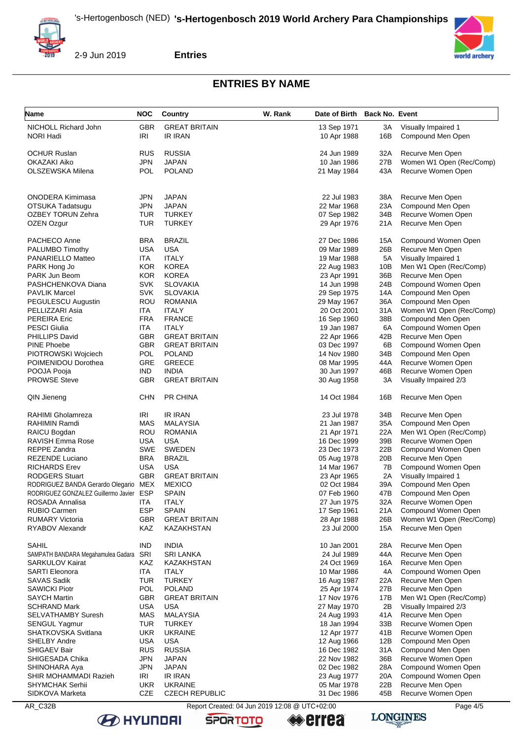

**Entries**

# **ENTRIES BY NAME**

| Name                                       | <b>NOC</b>               | <b>Country</b>                    | W. Rank | Date of Birth Back No. Event |            |                                           |
|--------------------------------------------|--------------------------|-----------------------------------|---------|------------------------------|------------|-------------------------------------------|
| NICHOLL Richard John                       | <b>GBR</b>               | <b>GREAT BRITAIN</b>              |         | 13 Sep 1971                  | ЗΑ         | Visually Impaired 1                       |
| <b>NORI Hadi</b>                           | IRI                      | IR IRAN                           |         | 10 Apr 1988                  | 16B        | Compound Men Open                         |
|                                            |                          |                                   |         |                              |            |                                           |
| <b>OCHUR Ruslan</b>                        | <b>RUS</b>               | <b>RUSSIA</b>                     |         | 24 Jun 1989                  | 32A        | Recurve Men Open                          |
| OKAZAKI Aiko                               | <b>JPN</b>               | JAPAN                             |         | 10 Jan 1986                  | 27B        | Women W1 Open (Rec/Comp)                  |
| OLSZEWSKA Milena                           | <b>POL</b>               | <b>POLAND</b>                     |         | 21 May 1984                  | 43A        | Recurve Women Open                        |
|                                            |                          |                                   |         |                              |            |                                           |
| <b>ONODERA Kimimasa</b>                    | JPN                      | <b>JAPAN</b>                      |         | 22 Jul 1983                  | 38A        | Recurve Men Open                          |
| OTSUKA Tadatsugu                           | <b>JPN</b>               | <b>JAPAN</b>                      |         | 22 Mar 1968                  | 23A        | Compound Men Open                         |
| <b>OZBEY TORUN Zehra</b>                   | TUR                      | <b>TURKEY</b>                     |         | 07 Sep 1982                  | 34B        | Recurve Women Open                        |
| OZEN Ozgur                                 | <b>TUR</b>               | <b>TURKEY</b>                     |         | 29 Apr 1976                  | 21A        | Recurve Men Open                          |
|                                            |                          |                                   |         |                              |            |                                           |
| PACHECO Anne                               | <b>BRA</b>               | <b>BRAZIL</b>                     |         | 27 Dec 1986                  | 15A        | Compound Women Open                       |
| PALUMBO Timothy                            | <b>USA</b>               | <b>USA</b>                        |         | 09 Mar 1989                  | 26B        | Recurve Men Open                          |
| PANARIELLO Matteo                          | ITA                      | <b>ITALY</b>                      |         | 19 Mar 1988                  | 5A         | Visually Impaired 1                       |
| PARK Hong Jo                               | <b>KOR</b>               | <b>KOREA</b>                      |         | 22 Aug 1983                  | 10B        | Men W1 Open (Rec/Comp)                    |
| PARK Jun Beom                              | <b>KOR</b>               | <b>KOREA</b>                      |         | 23 Apr 1991                  | 36B        | Recurve Men Open                          |
| PASHCHENKOVA Diana                         | <b>SVK</b>               | <b>SLOVAKIA</b>                   |         | 14 Jun 1998                  | 24B        | Compound Women Open                       |
| <b>PAVLIK Marcel</b><br>PEGULESCU Augustin | <b>SVK</b><br>ROU        | <b>SLOVAKIA</b><br><b>ROMANIA</b> |         | 29 Sep 1975                  | 14A<br>36A | Compound Men Open<br>Compound Men Open    |
| PELLIZZARI Asia                            | ITA                      | ITALY                             |         | 29 May 1967<br>20 Oct 2001   | 31A        | Women W1 Open (Rec/Comp)                  |
| <b>PEREIRA Eric</b>                        | <b>FRA</b>               | <b>FRANCE</b>                     |         | 16 Sep 1960                  | 38B        | Compound Men Open                         |
| <b>PESCI Giulia</b>                        | ITA                      | <b>ITALY</b>                      |         | 19 Jan 1987                  | 6A         | Compound Women Open                       |
| PHILLIPS David                             | <b>GBR</b>               | <b>GREAT BRITAIN</b>              |         | 22 Apr 1966                  | 42B        | Recurve Men Open                          |
| <b>PINE Phoebe</b>                         | <b>GBR</b>               | <b>GREAT BRITAIN</b>              |         | 03 Dec 1997                  | 6B         | Compound Women Open                       |
| PIOTROWSKI Wojciech                        | POL                      | <b>POLAND</b>                     |         | 14 Nov 1980                  | 34B        | Compound Men Open                         |
| POIMENIDOU Dorothea                        | GRE                      | <b>GREECE</b>                     |         | 08 Mar 1995                  | 44A        | Recurve Women Open                        |
| POOJA Pooja                                | <b>IND</b>               | <b>INDIA</b>                      |         | 30 Jun 1997                  | 46B        | Recurve Women Open                        |
| <b>PROWSE Steve</b>                        | <b>GBR</b>               | <b>GREAT BRITAIN</b>              |         | 30 Aug 1958                  | 3A         | Visually Impaired 2/3                     |
|                                            |                          |                                   |         |                              |            |                                           |
| QIN Jieneng                                | <b>CHN</b>               | <b>PR CHINA</b>                   |         | 14 Oct 1984                  | 16B        | Recurve Men Open                          |
|                                            | IRI                      | <b>IR IRAN</b>                    |         |                              | 34B        | Recurve Men Open                          |
| RAHIMI Gholamreza<br>RAHIMIN Ramdi         | MAS                      | MALAYSIA                          |         | 23 Jul 1978<br>21 Jan 1987   | 35A        | Compound Men Open                         |
| RAICU Bogdan                               | <b>ROU</b>               | <b>ROMANIA</b>                    |         | 21 Apr 1971                  | 22A        | Men W1 Open (Rec/Comp)                    |
| RAVISH Emma Rose                           | USA                      | USA                               |         | 16 Dec 1999                  | 39B        | Recurve Women Open                        |
| REPPE Zandra                               | <b>SWE</b>               | <b>SWEDEN</b>                     |         | 23 Dec 1973                  | 22B        | Compound Women Open                       |
| REZENDE Luciano                            | <b>BRA</b>               | <b>BRAZIL</b>                     |         | 05 Aug 1978                  | 20B        | Recurve Men Open                          |
| <b>RICHARDS Erev</b>                       | <b>USA</b>               | USA                               |         | 14 Mar 1967                  | 7B         | Compound Women Open                       |
| <b>RODGERS Stuart</b>                      | <b>GBR</b>               | <b>GREAT BRITAIN</b>              |         | 23 Apr 1965                  | 2A         | Visually Impaired 1                       |
| RODRIGUEZ BANDA Gerardo Olegario MEX       |                          | <b>MEXICO</b>                     |         | 02 Oct 1984                  | 39A        | Compound Men Open                         |
| RODRIGUEZ GONZALEZ Guillermo Javier ESP    |                          | <b>SPAIN</b>                      |         | 07 Feb 1960                  | 47B        | Compound Men Open                         |
| ROSADA Annalisa                            | <b>ITA</b>               | <b>ITALY</b>                      |         | 27 Jun 1975                  | 32A        | Recurve Women Open                        |
| <b>RUBIO Carmen</b>                        | <b>ESP</b>               | <b>SPAIN</b>                      |         | 17 Sep 1961                  | 21A        | Compound Women Open                       |
| <b>RUMARY Victoria</b>                     | <b>GBR</b>               | <b>GREAT BRITAIN</b>              |         | 28 Apr 1988                  | 26B        | Women W1 Open (Rec/Comp)                  |
| RYABOV Alexandr                            | KAZ                      | KAZAKHSTAN                        |         | 23 Jul 2000                  | 15A        | Recurve Men Open                          |
| SAHIL                                      | <b>IND</b>               | <b>INDIA</b>                      |         | 10 Jan 2001                  | 28A        | Recurve Men Open                          |
| SAMPATH BANDARA Megahamulea Gadara         | SRI                      | SRI LANKA                         |         | 24 Jul 1989                  | 44A        | Recurve Men Open                          |
| <b>SARKULOV Kairat</b>                     | KAZ                      | KAZAKHSTAN                        |         | 24 Oct 1969                  | 16A        | Recurve Men Open                          |
| <b>SARTI Eleonora</b>                      | ITA                      | <b>ITALY</b>                      |         | 10 Mar 1986                  | 4A         | Compound Women Open                       |
| <b>SAVAS Sadik</b>                         | <b>TUR</b>               | <b>TURKEY</b>                     |         | 16 Aug 1987                  | 22A        | Recurve Men Open                          |
| <b>SAWICKI Piotr</b>                       | POL                      | <b>POLAND</b>                     |         | 25 Apr 1974                  | 27B        | Recurve Men Open                          |
| <b>SAYCH Martin</b>                        | <b>GBR</b>               | <b>GREAT BRITAIN</b>              |         | 17 Nov 1976                  | 17B        | Men W1 Open (Rec/Comp)                    |
| <b>SCHRAND Mark</b>                        | <b>USA</b>               | <b>USA</b>                        |         | 27 May 1970                  | 2B         | Visually Impaired 2/3                     |
| <b>SELVATHAMBY Suresh</b>                  | <b>MAS</b>               | <b>MALAYSIA</b>                   |         | 24 Aug 1993                  | 41A        | Recurve Men Open                          |
| <b>SENGUL Yagmur</b>                       | <b>TUR</b>               | <b>TURKEY</b>                     |         | 18 Jan 1994                  | 33B        | Recurve Women Open                        |
| SHATKOVSKA Svitlana                        | <b>UKR</b>               | <b>UKRAINE</b>                    |         | 12 Apr 1977                  | 41B        | Recurve Women Open                        |
| <b>SHELBY Andre</b>                        | <b>USA</b>               | <b>USA</b>                        |         | 12 Aug 1966                  | 12B        | Compound Men Open                         |
| SHIGAEV Bair                               | <b>RUS</b>               | <b>RUSSIA</b>                     |         | 16 Dec 1982                  | 31A        | Compound Men Open                         |
| SHIGESADA Chika<br>SHINOHARA Aya           | <b>JPN</b><br><b>JPN</b> | JAPAN<br>JAPAN                    |         | 22 Nov 1982<br>02 Dec 1982   | 36B<br>28A | Recurve Women Open<br>Compound Women Open |
| SHIR MOHAMMADI Razieh                      | IRI                      | IR IRAN                           |         | 23 Aug 1977                  | 20A        | Compound Women Open                       |
| <b>SHYMCHAK Serhii</b>                     | <b>UKR</b>               | <b>UKRAINE</b>                    |         | 05 Mar 1978                  | 22B        | Recurve Men Open                          |
| SIDKOVA Marketa                            | CZE                      | <b>CZECH REPUBLIC</b>             |         | 31 Dec 1986                  | 45B        | Recurve Women Open                        |
|                                            |                          |                                   |         |                              |            |                                           |

**B** HYUNDAI

AR\_C32B Report Created: 04 Jun 2019 12:08 @ UTC+02:00

**SPORTOTO** 

**errea** 



**LONGINES**